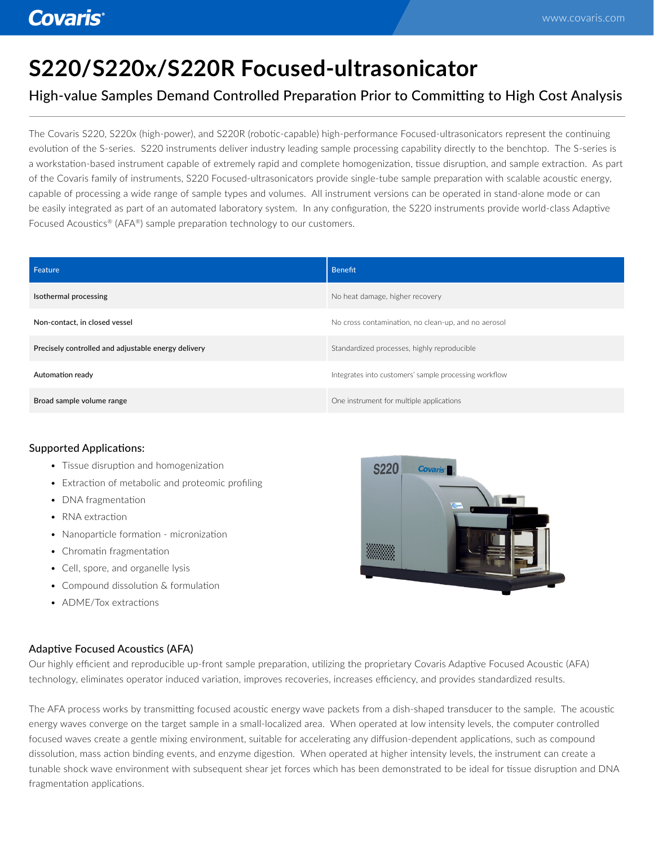# **S220/S220x/S220R Focused-ultrasonicator**

## High-value Samples Demand Controlled Preparation Prior to Committing to High Cost Analysis

The Covaris S220, S220x (high-power), and S220R (robotic-capable) high-performance Focused-ultrasonicators represent the continuing evolution of the S-series. S220 instruments deliver industry leading sample processing capability directly to the benchtop. The S-series is a workstation-based instrument capable of extremely rapid and complete homogenization, tissue disruption, and sample extraction. As part of the Covaris family of instruments, S220 Focused-ultrasonicators provide single-tube sample preparation with scalable acoustic energy, capable of processing a wide range of sample types and volumes. All instrument versions can be operated in stand-alone mode or can be easily integrated as part of an automated laboratory system. In any configuration, the S220 instruments provide world-class Adaptive Focused Acoustics® (AFA®) sample preparation technology to our customers.

| Feature                                             | Benefit                                               |
|-----------------------------------------------------|-------------------------------------------------------|
| Isothermal processing                               | No heat damage, higher recovery                       |
| Non-contact, in closed vessel                       | No cross contamination, no clean-up, and no aerosol   |
| Precisely controlled and adjustable energy delivery | Standardized processes, highly reproducible           |
| Automation ready                                    | Integrates into customers' sample processing workflow |
| Broad sample volume range                           | One instrument for multiple applications              |

## Supported Applications:

- Tissue disruption and homogenization
- Extraction of metabolic and proteomic profiling
- DNA fragmentation
- RNA extraction
- Nanoparticle formation micronization
- Chromatin fragmentation
- Cell, spore, and organelle lysis
- Compound dissolution & formulation
- ADME/Tox extractions



## Adaptive Focused Acoustics (AFA)

Our highly efficient and reproducible up-front sample preparation, utilizing the proprietary Covaris Adaptive Focused Acoustic (AFA) technology, eliminates operator induced variation, improves recoveries, increases efficiency, and provides standardized results.

The AFA process works by transmitting focused acoustic energy wave packets from a dish-shaped transducer to the sample. The acoustic energy waves converge on the target sample in a small-localized area. When operated at low intensity levels, the computer controlled focused waves create a gentle mixing environment, suitable for accelerating any diffusion-dependent applications, such as compound dissolution, mass action binding events, and enzyme digestion. When operated at higher intensity levels, the instrument can create a tunable shock wave environment with subsequent shear jet forces which has been demonstrated to be ideal for tissue disruption and DNA fragmentation applications.